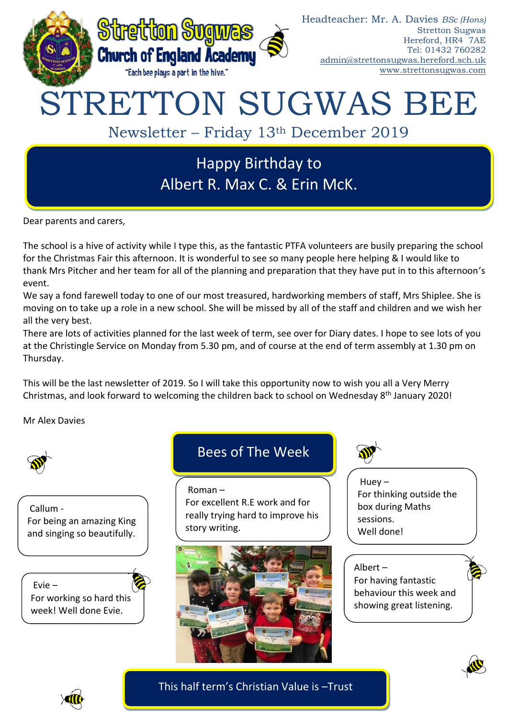

Dear parents and carers,

The school is a hive of activity while I type this, as the fantastic PTFA volunteers are busily preparing the school for the Christmas Fair this afternoon. It is wonderful to see so many people here helping & I would like to thank Mrs Pitcher and her team for all of the planning and preparation that they have put in to this afternoon's event.

We say a fond farewell today to one of our most treasured, hardworking members of staff, Mrs Shiplee. She is moving on to take up a role in a new school. She will be missed by all of the staff and children and we wish her all the very best.

There are lots of activities planned for the last week of term, see over for Diary dates. I hope to see lots of you at the Christingle Service on Monday from 5.30 pm, and of course at the end of term assembly at 1.30 pm on Thursday.

This will be the last newsletter of 2019. So I will take this opportunity now to wish you all a Very Merry Christmas, and look forward to welcoming the children back to school on Wednesday 8<sup>th</sup> January 2020!

Mr Alex Davies



Callum - For being an amazing King and singing so beautifully.

Evie – For working so hard this week! Well done Evie.

# Bees of The Week

Roman – For excellent R.E work and for really trying hard to improve his story writing.





Huey – For thinking outside the box during Maths sessions. Well done!

Albert – For having fantastic behaviour this week and showing great listening.





This half term's Christian Value is –Trust